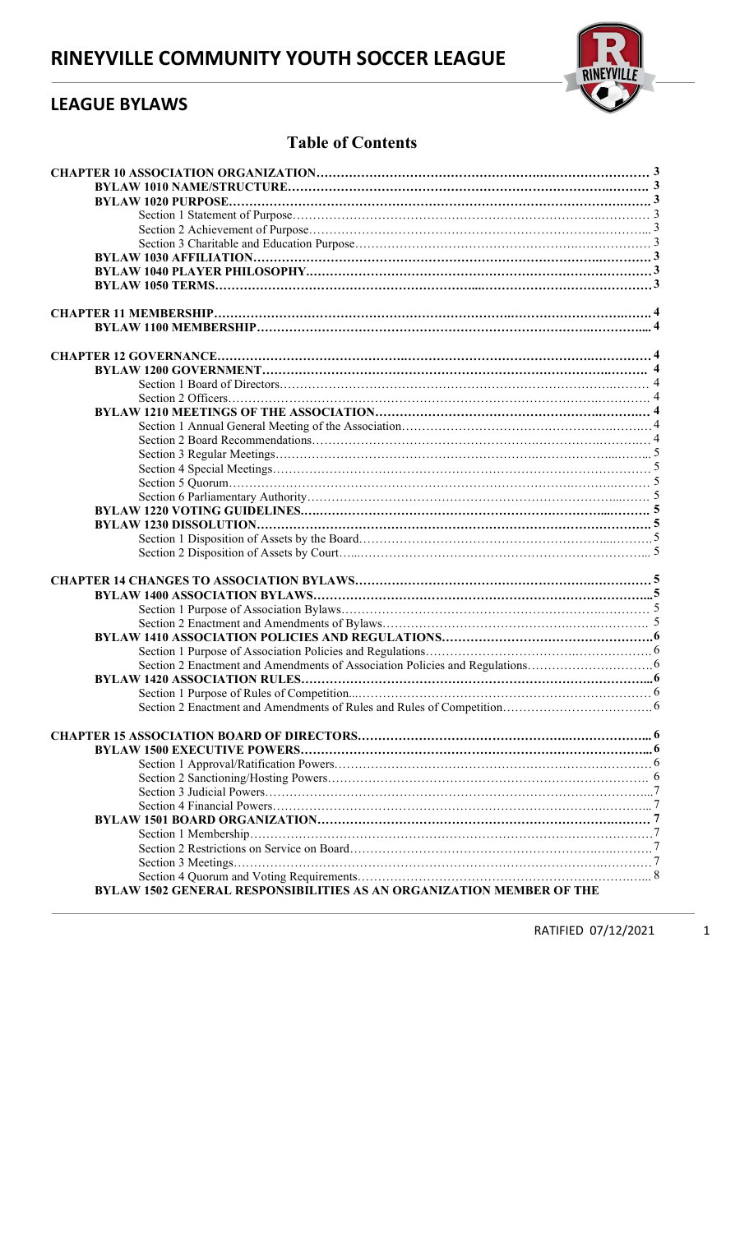

## LEAGUE BYLAWS

## Table of Contents

| <b>BYLAW 1502 GENERAL RESPONSIBILITIES AS AN ORGANIZATION MEMBER OF THE</b> |  |
|-----------------------------------------------------------------------------|--|
|                                                                             |  |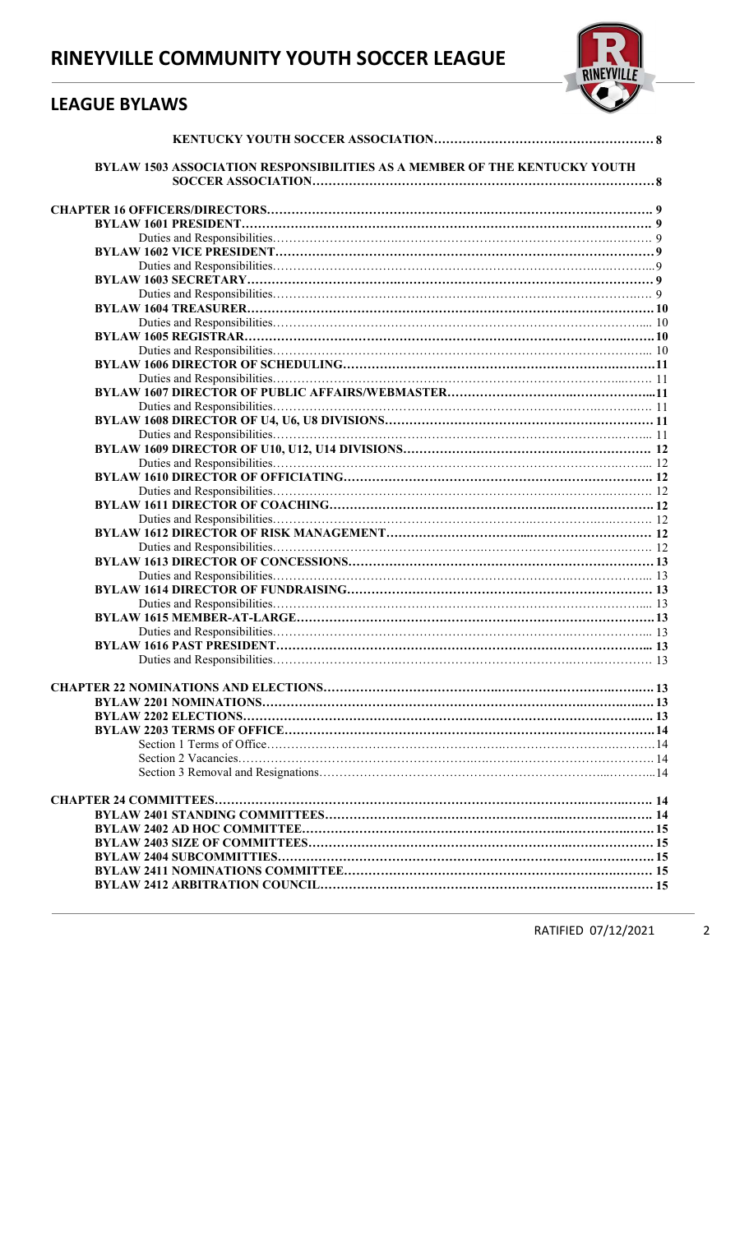## LEAGUE BYLAWS



| BYLAW 1503 ASSOCIATION RESPONSIBILITIES AS A MEMBER OF THE KENTUCKY YOUTH |  |
|---------------------------------------------------------------------------|--|
|                                                                           |  |
|                                                                           |  |
|                                                                           |  |
|                                                                           |  |
|                                                                           |  |
|                                                                           |  |
|                                                                           |  |
|                                                                           |  |
|                                                                           |  |
|                                                                           |  |
|                                                                           |  |
|                                                                           |  |
|                                                                           |  |
|                                                                           |  |
|                                                                           |  |
|                                                                           |  |
|                                                                           |  |
|                                                                           |  |
|                                                                           |  |
|                                                                           |  |
|                                                                           |  |
|                                                                           |  |
|                                                                           |  |
|                                                                           |  |
|                                                                           |  |
|                                                                           |  |
|                                                                           |  |
|                                                                           |  |
|                                                                           |  |
|                                                                           |  |
|                                                                           |  |
|                                                                           |  |
|                                                                           |  |
|                                                                           |  |
|                                                                           |  |
|                                                                           |  |
|                                                                           |  |
|                                                                           |  |
|                                                                           |  |
|                                                                           |  |
|                                                                           |  |
|                                                                           |  |
|                                                                           |  |
|                                                                           |  |
|                                                                           |  |
|                                                                           |  |
|                                                                           |  |
|                                                                           |  |
|                                                                           |  |
|                                                                           |  |
|                                                                           |  |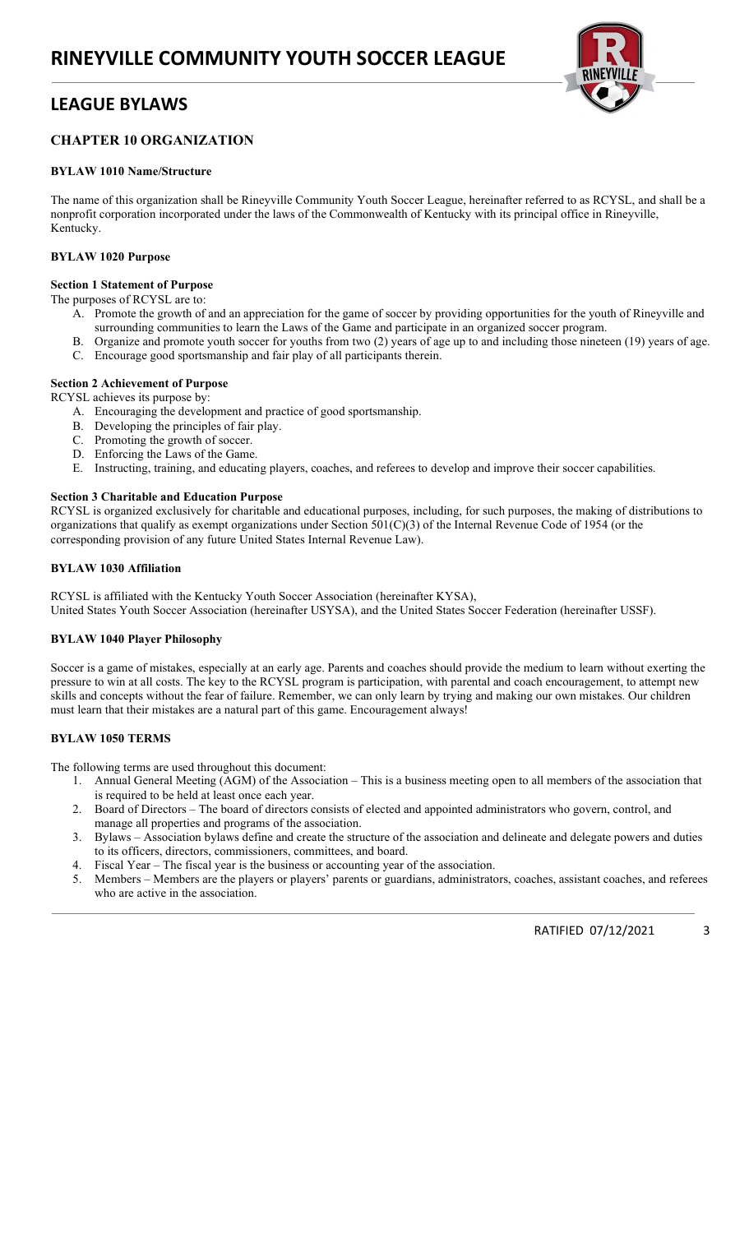## LEAGUE BYLAWS



## CHAPTER 10 ORGANIZATION

### BYLAW 1010 Name/Structure

The name of this organization shall be Rineyville Community Youth Soccer League, hereinafter referred to as RCYSL, and shall be a nonprofit corporation incorporated under the laws of the Commonwealth of Kentucky with its principal office in Rineyville, Kentucky.

### BYLAW 1020 Purpose

### Section 1 Statement of Purpose

The purposes of RCYSL are to:

- A. Promote the growth of and an appreciation for the game of soccer by providing opportunities for the youth of Rineyville and surrounding communities to learn the Laws of the Game and participate in an organized soccer program.
- B. Organize and promote youth soccer for youths from two (2) years of age up to and including those nineteen (19) years of age. C. Encourage good sportsmanship and fair play of all participants therein.

### Section 2 Achievement of Purpose

RCYSL achieves its purpose by:

- A. Encouraging the development and practice of good sportsmanship.
- B. Developing the principles of fair play.
- C. Promoting the growth of soccer.
- D. Enforcing the Laws of the Game.
- E. Instructing, training, and educating players, coaches, and referees to develop and improve their soccer capabilities.

### Section 3 Charitable and Education Purpose

RCYSL is organized exclusively for charitable and educational purposes, including, for such purposes, the making of distributions to organizations that qualify as exempt organizations under Section 501(C)(3) of the Internal Revenue Code of 1954 (or the corresponding provision of any future United States Internal Revenue Law).

### BYLAW 1030 Affiliation

RCYSL is affiliated with the Kentucky Youth Soccer Association (hereinafter KYSA), United States Youth Soccer Association (hereinafter USYSA), and the United States Soccer Federation (hereinafter USSF).

### BYLAW 1040 Player Philosophy

Soccer is a game of mistakes, especially at an early age. Parents and coaches should provide the medium to learn without exerting the pressure to win at all costs. The key to the RCYSL program is participation, with parental and coach encouragement, to attempt new skills and concepts without the fear of failure. Remember, we can only learn by trying and making our own mistakes. Our children must learn that their mistakes are a natural part of this game. Encouragement always!

### BYLAW 1050 TERMS

The following terms are used throughout this document:

- 1. Annual General Meeting (AGM) of the Association This is a business meeting open to all members of the association that is required to be held at least once each year.
- 2. Board of Directors The board of directors consists of elected and appointed administrators who govern, control, and manage all properties and programs of the association.
- 3. Bylaws Association bylaws define and create the structure of the association and delineate and delegate powers and duties to its officers, directors, commissioners, committees, and board.
- 4. Fiscal Year The fiscal year is the business or accounting year of the association.
- Members Members are the players or players' parents or guardians, administrators, coaches, assistant coaches, and referees who are active in the association.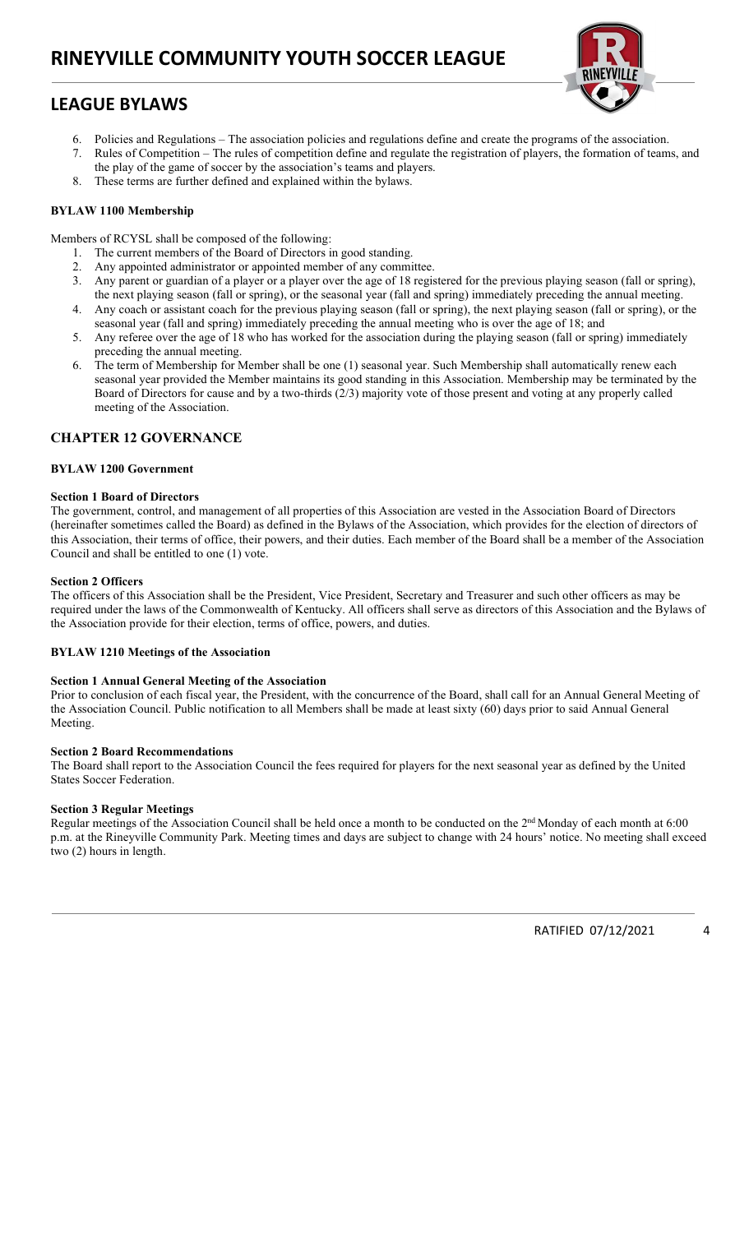# LEAGUE BYLAWS



- 6. Policies and Regulations The association policies and regulations define and create the programs of the association.
- 7. Rules of Competition The rules of competition define and regulate the registration of players, the formation of teams, and the play of the game of soccer by the association's teams and players.
- These terms are further defined and explained within the bylaws.

### BYLAW 1100 Membership

Members of RCYSL shall be composed of the following:

- 1. The current members of the Board of Directors in good standing.
- 2. Any appointed administrator or appointed member of any committee.
- 3. Any parent or guardian of a player or a player over the age of 18 registered for the previous playing season (fall or spring), the next playing season (fall or spring), or the seasonal year (fall and spring) immediately preceding the annual meeting.
- 4. Any coach or assistant coach for the previous playing season (fall or spring), the next playing season (fall or spring), or the seasonal year (fall and spring) immediately preceding the annual meeting who is over the age of 18; and
- 5. Any referee over the age of 18 who has worked for the association during the playing season (fall or spring) immediately preceding the annual meeting.
- 6. The term of Membership for Member shall be one (1) seasonal year. Such Membership shall automatically renew each seasonal year provided the Member maintains its good standing in this Association. Membership may be terminated by the Board of Directors for cause and by a two-thirds (2/3) majority vote of those present and voting at any properly called meeting of the Association.

### CHAPTER 12 GOVERNANCE

### BYLAW 1200 Government

### Section 1 Board of Directors

The government, control, and management of all properties of this Association are vested in the Association Board of Directors (hereinafter sometimes called the Board) as defined in the Bylaws of the Association, which provides for the election of directors of this Association, their terms of office, their powers, and their duties. Each member of the Board shall be a member of the Association Council and shall be entitled to one (1) vote.

### Section 2 Officers

The officers of this Association shall be the President, Vice President, Secretary and Treasurer and such other officers as may be required under the laws of the Commonwealth of Kentucky. All officers shall serve as directors of this Association and the Bylaws of the Association provide for their election, terms of office, powers, and duties.

#### BYLAW 1210 Meetings of the Association

#### Section 1 Annual General Meeting of the Association

Prior to conclusion of each fiscal year, the President, with the concurrence of the Board, shall call for an Annual General Meeting of the Association Council. Public notification to all Members shall be made at least sixty (60) days prior to said Annual General Meeting.

#### Section 2 Board Recommendations

The Board shall report to the Association Council the fees required for players for the next seasonal year as defined by the United States Soccer Federation.

### Section 3 Regular Meetings

Regular meetings of the Association Council shall be held once a month to be conducted on the  $2<sup>nd</sup>$  Monday of each month at 6:00 p.m. at the Rineyville Community Park. Meeting times and days are subject to change with 24 hours' notice. No meeting shall exceed two (2) hours in length.

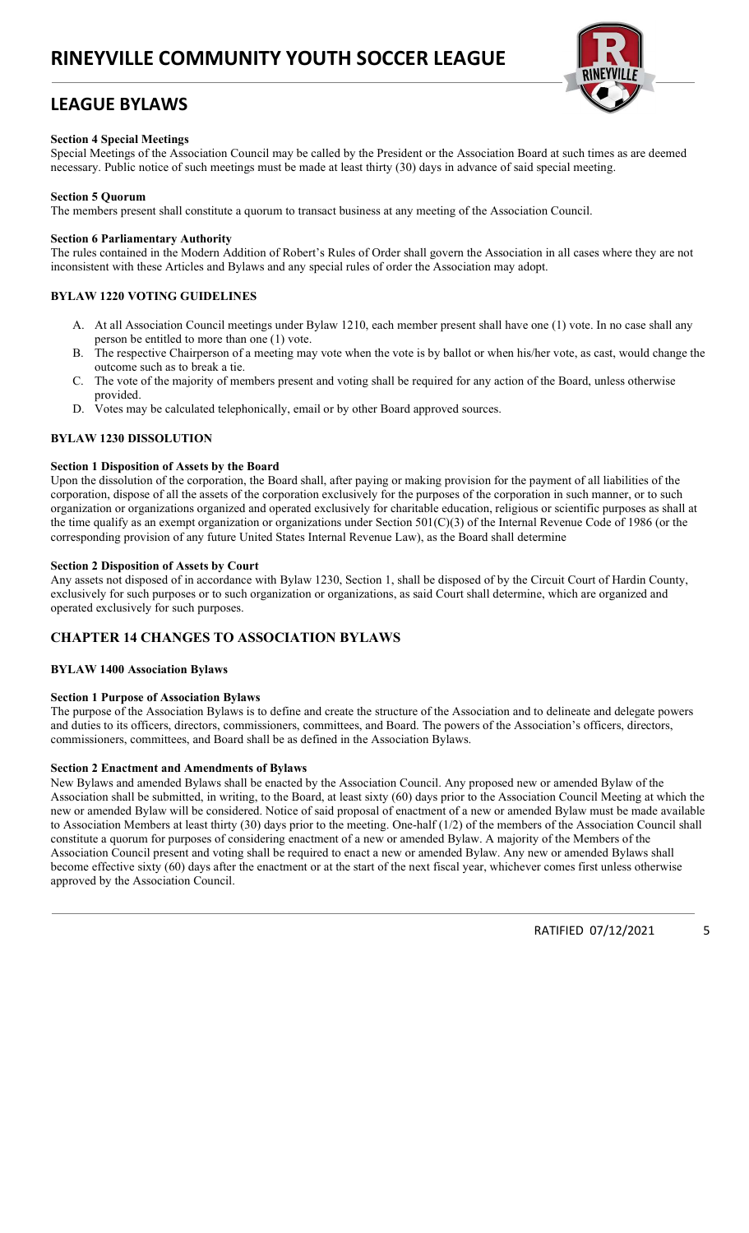## LEAGUE BYLAWS



### Section 4 Special Meetings

Special Meetings of the Association Council may be called by the President or the Association Board at such times as are deemed necessary. Public notice of such meetings must be made at least thirty (30) days in advance of said special meeting.

### Section 5 Quorum

The members present shall constitute a quorum to transact business at any meeting of the Association Council.

### Section 6 Parliamentary Authority

The rules contained in the Modern Addition of Robert's Rules of Order shall govern the Association in all cases where they are not inconsistent with these Articles and Bylaws and any special rules of order the Association may adopt.

### BYLAW 1220 VOTING GUIDELINES

- A. At all Association Council meetings under Bylaw 1210, each member present shall have one (1) vote. In no case shall any person be entitled to more than one (1) vote.
- B. The respective Chairperson of a meeting may vote when the vote is by ballot or when his/her vote, as cast, would change the outcome such as to break a tie.
- C. The vote of the majority of members present and voting shall be required for any action of the Board, unless otherwise provided.
- D. Votes may be calculated telephonically, email or by other Board approved sources.

### BYLAW 1230 DISSOLUTION

### Section 1 Disposition of Assets by the Board

Upon the dissolution of the corporation, the Board shall, after paying or making provision for the payment of all liabilities of the corporation, dispose of all the assets of the corporation exclusively for the purposes of the corporation in such manner, or to such organization or organizations organized and operated exclusively for charitable education, religious or scientific purposes as shall at the time qualify as an exempt organization or organizations under Section 501(C)(3) of the Internal Revenue Code of 1986 (or the corresponding provision of any future United States Internal Revenue Law), as the Board shall determine

### Section 2 Disposition of Assets by Court

Any assets not disposed of in accordance with Bylaw 1230, Section 1, shall be disposed of by the Circuit Court of Hardin County, exclusively for such purposes or to such organization or organizations, as said Court shall determine, which are organized and operated exclusively for such purposes.

### CHAPTER 14 CHANGES TO ASSOCIATION BYLAWS

#### BYLAW 1400 Association Bylaws

### Section 1 Purpose of Association Bylaws

The purpose of the Association Bylaws is to define and create the structure of the Association and to delineate and delegate powers and duties to its officers, directors, commissioners, committees, and Board. The powers of the Association's officers, directors, commissioners, committees, and Board shall be as defined in the Association Bylaws.

#### Section 2 Enactment and Amendments of Bylaws

New Bylaws and amended Bylaws shall be enacted by the Association Council. Any proposed new or amended Bylaw of the Association shall be submitted, in writing, to the Board, at least sixty (60) days prior to the Association Council Meeting at which the new or amended Bylaw will be considered. Notice of said proposal of enactment of a new or amended Bylaw must be made available to Association Members at least thirty (30) days prior to the meeting. One-half (1/2) of the members of the Association Council shall constitute a quorum for purposes of considering enactment of a new or amended Bylaw. A majority of the Members of the Association Council present and voting shall be required to enact a new or amended Bylaw. Any new or amended Bylaws shall become effective sixty (60) days after the enactment or at the start of the next fiscal year, whichever comes first unless otherwise approved by the Association Council.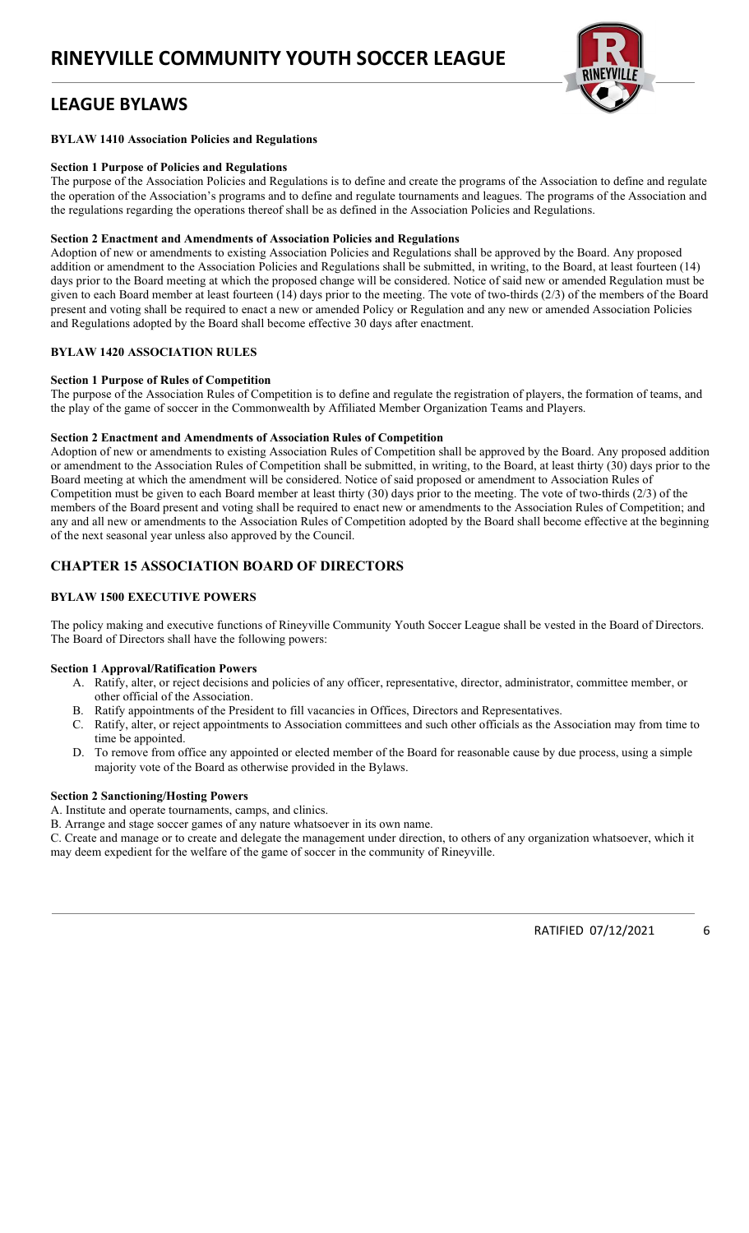# LEAGUE BYLAWS



### BYLAW 1410 Association Policies and Regulations

### Section 1 Purpose of Policies and Regulations

The purpose of the Association Policies and Regulations is to define and create the programs of the Association to define and regulate the operation of the Association's programs and to define and regulate tournaments and leagues. The programs of the Association and the regulations regarding the operations thereof shall be as defined in the Association Policies and Regulations.

### Section 2 Enactment and Amendments of Association Policies and Regulations

Adoption of new or amendments to existing Association Policies and Regulations shall be approved by the Board. Any proposed addition or amendment to the Association Policies and Regulations shall be submitted, in writing, to the Board, at least fourteen (14) days prior to the Board meeting at which the proposed change will be considered. Notice of said new or amended Regulation must be given to each Board member at least fourteen (14) days prior to the meeting. The vote of two-thirds (2/3) of the members of the Board present and voting shall be required to enact a new or amended Policy or Regulation and any new or amended Association Policies and Regulations adopted by the Board shall become effective 30 days after enactment.

### BYLAW 1420 ASSOCIATION RULES

### Section 1 Purpose of Rules of Competition

The purpose of the Association Rules of Competition is to define and regulate the registration of players, the formation of teams, and the play of the game of soccer in the Commonwealth by Affiliated Member Organization Teams and Players.

### Section 2 Enactment and Amendments of Association Rules of Competition

Adoption of new or amendments to existing Association Rules of Competition shall be approved by the Board. Any proposed addition or amendment to the Association Rules of Competition shall be submitted, in writing, to the Board, at least thirty (30) days prior to the Board meeting at which the amendment will be considered. Notice of said proposed or amendment to Association Rules of Competition must be given to each Board member at least thirty (30) days prior to the meeting. The vote of two-thirds (2/3) of the members of the Board present and voting shall be required to enact new or amendments to the Association Rules of Competition; and any and all new or amendments to the Association Rules of Competition adopted by the Board shall become effective at the beginning of the next seasonal year unless also approved by the Council.

### CHAPTER 15 ASSOCIATION BOARD OF DIRECTORS

### BYLAW 1500 EXECUTIVE POWERS

The policy making and executive functions of Rineyville Community Youth Soccer League shall be vested in the Board of Directors. The Board of Directors shall have the following powers:

#### Section 1 Approval/Ratification Powers

- A. Ratify, alter, or reject decisions and policies of any officer, representative, director, administrator, committee member, or other official of the Association.
- B. Ratify appointments of the President to fill vacancies in Offices, Directors and Representatives.
- C. Ratify, alter, or reject appointments to Association committees and such other officials as the Association may from time to time be appointed.
- D. To remove from office any appointed or elected member of the Board for reasonable cause by due process, using a simple majority vote of the Board as otherwise provided in the Bylaws.

#### Section 2 Sanctioning/Hosting Powers

A. Institute and operate tournaments, camps, and clinics.

B. Arrange and stage soccer games of any nature whatsoever in its own name.

C. Create and manage or to create and delegate the management under direction, to others of any organization whatsoever, which it may deem expedient for the welfare of the game of soccer in the community of Rineyville.

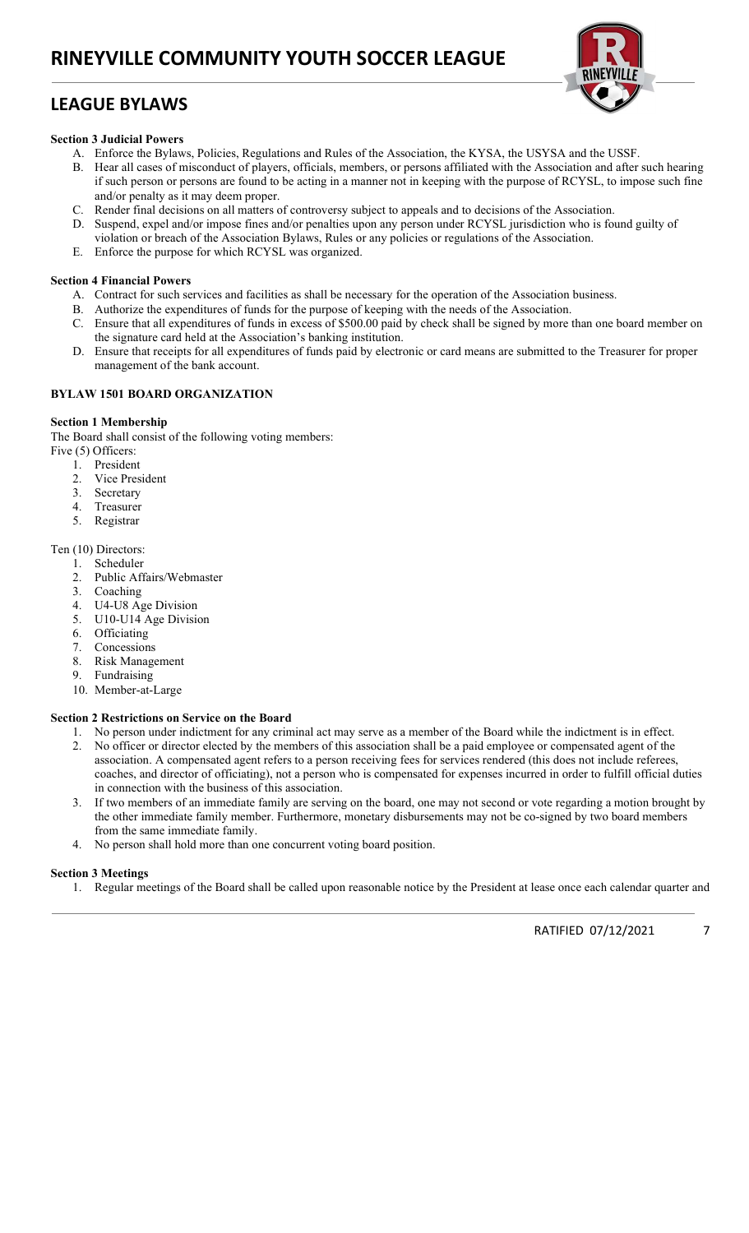# LEAGUE BYLAWS



## Section 3 Judicial Powers

- A. Enforce the Bylaws, Policies, Regulations and Rules of the Association, the KYSA, the USYSA and the USSF.
- B. Hear all cases of misconduct of players, officials, members, or persons affiliated with the Association and after such hearing if such person or persons are found to be acting in a manner not in keeping with the purpose of RCYSL, to impose such fine and/or penalty as it may deem proper.
- C. Render final decisions on all matters of controversy subject to appeals and to decisions of the Association.
- D. Suspend, expel and/or impose fines and/or penalties upon any person under RCYSL jurisdiction who is found guilty of
- violation or breach of the Association Bylaws, Rules or any policies or regulations of the Association.
- E. Enforce the purpose for which RCYSL was organized.

## Section 4 Financial Powers

- A. Contract for such services and facilities as shall be necessary for the operation of the Association business.
- B. Authorize the expenditures of funds for the purpose of keeping with the needs of the Association.
- C. Ensure that all expenditures of funds in excess of \$500.00 paid by check shall be signed by more than one board member on the signature card held at the Association's banking institution.
- D. Ensure that receipts for all expenditures of funds paid by electronic or card means are submitted to the Treasurer for proper management of the bank account.

## BYLAW 1501 BOARD ORGANIZATION

## Section 1 Membership

The Board shall consist of the following voting members:

- Five (5) Officers:
	- 1. President
	- 2. Vice President
	- 3. Secretary
	- 4. Treasurer
	- 5. Registrar

### Ten (10) Directors:

- 1. Scheduler
- 2. Public Affairs/Webmaster
- 3. Coaching
- 4. U4-U8 Age Division
- 5. U10-U14 Age Division
- 6. Officiating
- 7. Concessions
- 8. Risk Management
- 9. Fundraising
- 10. Member-at-Large

### Section 2 Restrictions on Service on the Board

- 1. No person under indictment for any criminal act may serve as a member of the Board while the indictment is in effect. 2. No officer or director elected by the members of this association shall be a paid employee or compensated agent of the association. A compensated agent refers to a person receiving fees for services rendered (this does not include referees, coaches, and director of officiating), not a person who is compensated for expenses incurred in order to fulfill official duties in connection with the business of this association.
- 3. If two members of an immediate family are serving on the board, one may not second or vote regarding a motion brought by the other immediate family member. Furthermore, monetary disbursements may not be co-signed by two board members from the same immediate family.
- 4. No person shall hold more than one concurrent voting board position.

### Section 3 Meetings

1. Regular meetings of the Board shall be called upon reasonable notice by the President at lease once each calendar quarter and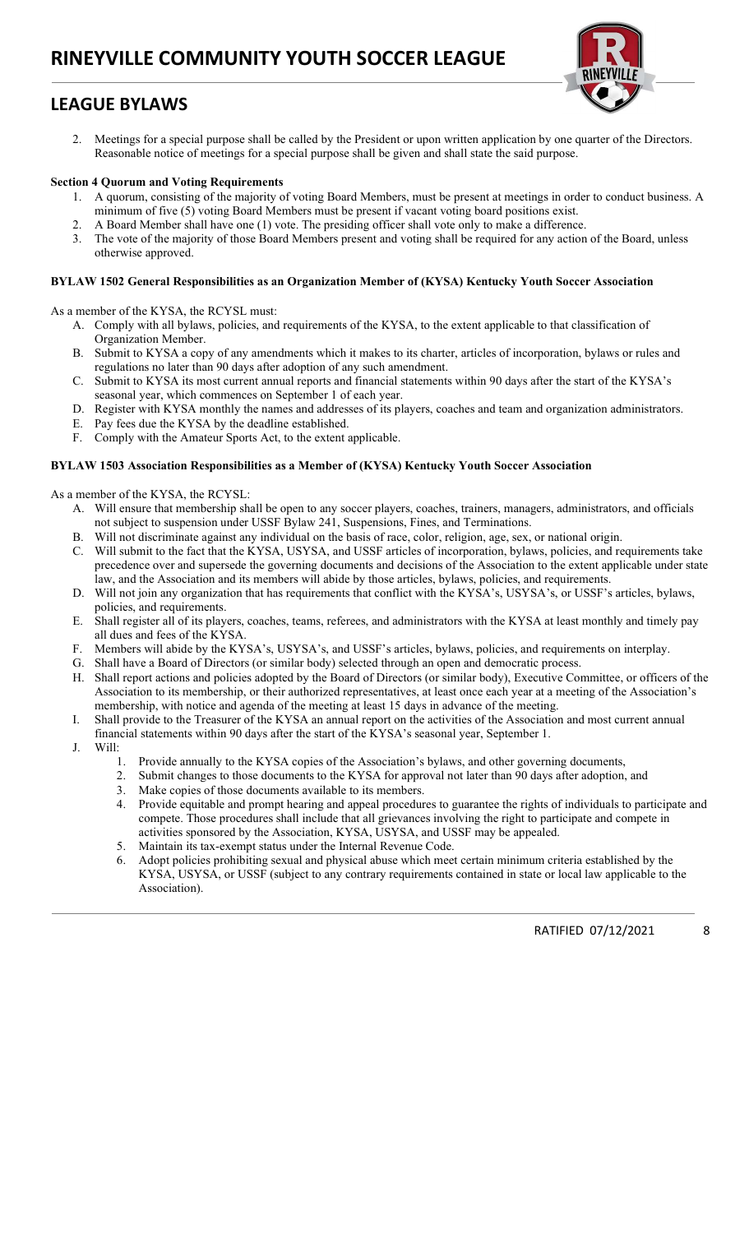# LEAGUE BYLAWS



2. Meetings for a special purpose shall be called by the President or upon written application by one quarter of the Directors. Reasonable notice of meetings for a special purpose shall be given and shall state the said purpose.

### Section 4 Quorum and Voting Requirements

- 1. A quorum, consisting of the majority of voting Board Members, must be present at meetings in order to conduct business. A minimum of five (5) voting Board Members must be present if vacant voting board positions exist.
- 2. A Board Member shall have one (1) vote. The presiding officer shall vote only to make a difference.
- 3. The vote of the majority of those Board Members present and voting shall be required for any action of the Board, unless otherwise approved.

### BYLAW 1502 General Responsibilities as an Organization Member of (KYSA) Kentucky Youth Soccer Association

As a member of the KYSA, the RCYSL must:

- A. Comply with all bylaws, policies, and requirements of the KYSA, to the extent applicable to that classification of Organization Member.
- B. Submit to KYSA a copy of any amendments which it makes to its charter, articles of incorporation, bylaws or rules and regulations no later than 90 days after adoption of any such amendment.
- C. Submit to KYSA its most current annual reports and financial statements within 90 days after the start of the KYSA's seasonal year, which commences on September 1 of each year.
- D. Register with KYSA monthly the names and addresses of its players, coaches and team and organization administrators.
- E. Pay fees due the KYSA by the deadline established.
- F. Comply with the Amateur Sports Act, to the extent applicable.

### BYLAW 1503 Association Responsibilities as a Member of (KYSA) Kentucky Youth Soccer Association

As a member of the KYSA, the RCYSL:

- A. Will ensure that membership shall be open to any soccer players, coaches, trainers, managers, administrators, and officials not subject to suspension under USSF Bylaw 241, Suspensions, Fines, and Terminations.
- B. Will not discriminate against any individual on the basis of race, color, religion, age, sex, or national origin.
- C. Will submit to the fact that the KYSA, USYSA, and USSF articles of incorporation, bylaws, policies, and requirements take precedence over and supersede the governing documents and decisions of the Association to the extent applicable under state law, and the Association and its members will abide by those articles, bylaws, policies, and requirements.
- D. Will not join any organization that has requirements that conflict with the KYSA's, USYSA's, or USSF's articles, bylaws, policies, and requirements.
- E. Shall register all of its players, coaches, teams, referees, and administrators with the KYSA at least monthly and timely pay all dues and fees of the KYSA.
- F. Members will abide by the KYSA's, USYSA's, and USSF's articles, bylaws, policies, and requirements on interplay.
- G. Shall have a Board of Directors (or similar body) selected through an open and democratic process.
- H. Shall report actions and policies adopted by the Board of Directors (or similar body), Executive Committee, or officers of the Association to its membership, or their authorized representatives, at least once each year at a meeting of the Association's membership, with notice and agenda of the meeting at least 15 days in advance of the meeting.
- I. Shall provide to the Treasurer of the KYSA an annual report on the activities of the Association and most current annual financial statements within 90 days after the start of the KYSA's seasonal year, September 1.
- J. Will:
	- 1. Provide annually to the KYSA copies of the Association's bylaws, and other governing documents,
	- 2. Submit changes to those documents to the KYSA for approval not later than 90 days after adoption, and
	- 3. Make copies of those documents available to its members.
	- 4. Provide equitable and prompt hearing and appeal procedures to guarantee the rights of individuals to participate and compete. Those procedures shall include that all grievances involving the right to participate and compete in activities sponsored by the Association, KYSA, USYSA, and USSF may be appealed.
	- 5. Maintain its tax-exempt status under the Internal Revenue Code.
	- 6. Adopt policies prohibiting sexual and physical abuse which meet certain minimum criteria established by the KYSA, USYSA, or USSF (subject to any contrary requirements contained in state or local law applicable to the Association).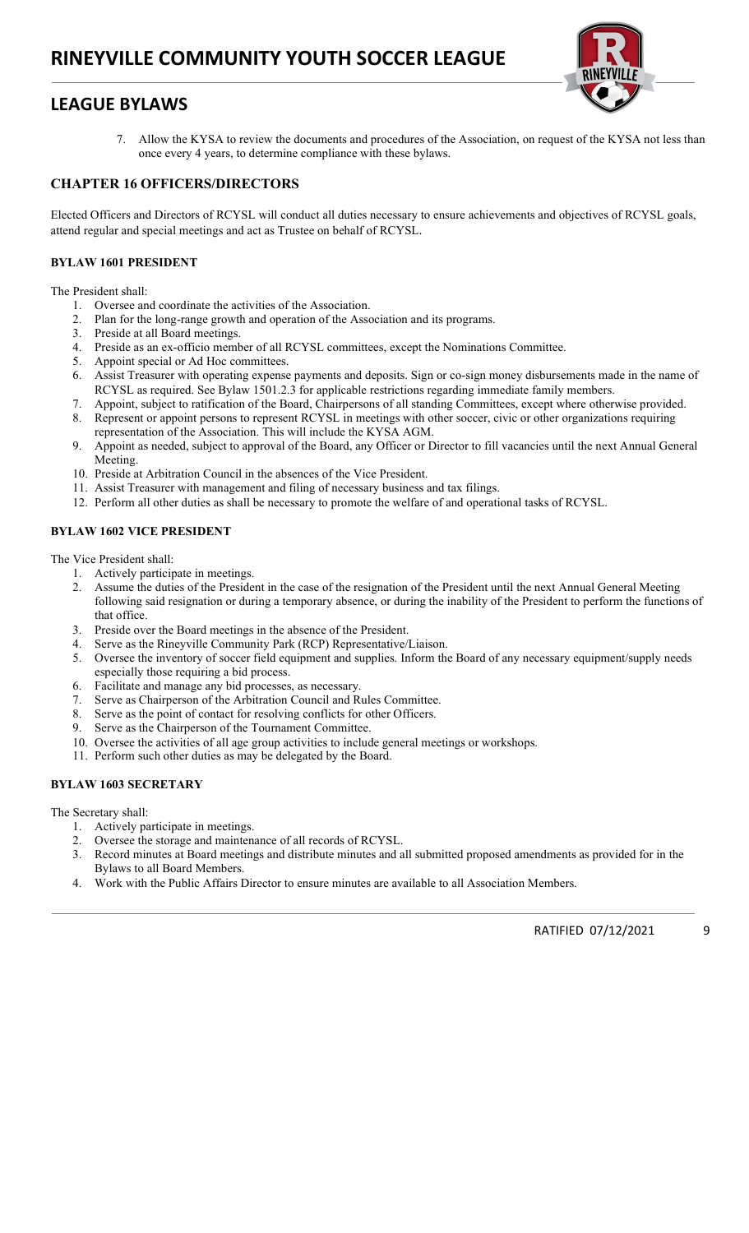## LEAGUE BYLAWS



7. Allow the KYSA to review the documents and procedures of the Association, on request of the KYSA not less than once every 4 years, to determine compliance with these bylaws.

### CHAPTER 16 OFFICERS/DIRECTORS

Elected Officers and Directors of RCYSL will conduct all duties necessary to ensure achievements and objectives of RCYSL goals, attend regular and special meetings and act as Trustee on behalf of RCYSL.

### BYLAW 1601 PRESIDENT

The President shall:

- 1. Oversee and coordinate the activities of the Association.
- 2. Plan for the long-range growth and operation of the Association and its programs.
- 3. Preside at all Board meetings.
- 4. Preside as an ex-officio member of all RCYSL committees, except the Nominations Committee.
- 5. Appoint special or Ad Hoc committees.
- 6. Assist Treasurer with operating expense payments and deposits. Sign or co-sign money disbursements made in the name of RCYSL as required. See Bylaw 1501.2.3 for applicable restrictions regarding immediate family members.
- 7. Appoint, subject to ratification of the Board, Chairpersons of all standing Committees, except where otherwise provided.
- Represent or appoint persons to represent RCYSL in meetings with other soccer, civic or other organizations requiring representation of the Association. This will include the KYSA AGM.
- 9. Appoint as needed, subject to approval of the Board, any Officer or Director to fill vacancies until the next Annual General Meeting.
- 10. Preside at Arbitration Council in the absences of the Vice President.
- 11. Assist Treasurer with management and filing of necessary business and tax filings.
- 12. Perform all other duties as shall be necessary to promote the welfare of and operational tasks of RCYSL.

### BYLAW 1602 VICE PRESIDENT

The Vice President shall:

- 1. Actively participate in meetings.
- 2. Assume the duties of the President in the case of the resignation of the President until the next Annual General Meeting following said resignation or during a temporary absence, or during the inability of the President to perform the functions of that office.
- 3. Preside over the Board meetings in the absence of the President.
- 4. Serve as the Rineyville Community Park (RCP) Representative/Liaison.
- 5. Oversee the inventory of soccer field equipment and supplies. Inform the Board of any necessary equipment/supply needs especially those requiring a bid process.
- 6. Facilitate and manage any bid processes, as necessary.
- 7. Serve as Chairperson of the Arbitration Council and Rules Committee.
- 8. Serve as the point of contact for resolving conflicts for other Officers.
- 9. Serve as the Chairperson of the Tournament Committee.
- 10. Oversee the activities of all age group activities to include general meetings or workshops.
- 11. Perform such other duties as may be delegated by the Board.

### BYLAW 1603 SECRETARY

The Secretary shall:

- 1. Actively participate in meetings.
- 2. Oversee the storage and maintenance of all records of RCYSL.
- 3. Record minutes at Board meetings and distribute minutes and all submitted proposed amendments as provided for in the Bylaws to all Board Members.
- 4. Work with the Public Affairs Director to ensure minutes are available to all Association Members.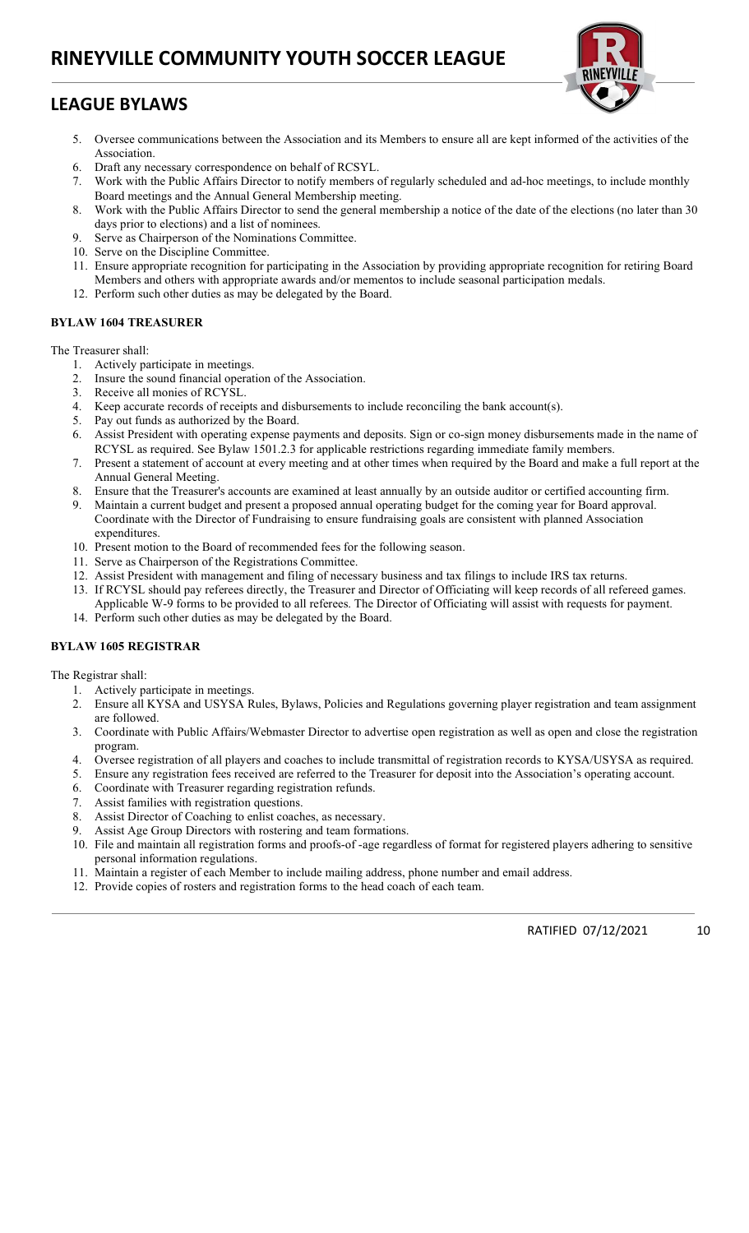# LEAGUE BYLAWS



- 5. Oversee communications between the Association and its Members to ensure all are kept informed of the activities of the Association.
- 6. Draft any necessary correspondence on behalf of RCSYL.
- 7. Work with the Public Affairs Director to notify members of regularly scheduled and ad-hoc meetings, to include monthly Board meetings and the Annual General Membership meeting.
- 8. Work with the Public Affairs Director to send the general membership a notice of the date of the elections (no later than 30 days prior to elections) and a list of nominees.
- 9. Serve as Chairperson of the Nominations Committee.
- 10. Serve on the Discipline Committee.
- 11. Ensure appropriate recognition for participating in the Association by providing appropriate recognition for retiring Board Members and others with appropriate awards and/or mementos to include seasonal participation medals.
- 12. Perform such other duties as may be delegated by the Board.

### BYLAW 1604 TREASURER

The Treasurer shall:

- 1. Actively participate in meetings.
- 2. Insure the sound financial operation of the Association.
- 3. Receive all monies of RCYSL.
- 4. Keep accurate records of receipts and disbursements to include reconciling the bank account(s).
- 5. Pay out funds as authorized by the Board.
- 6. Assist President with operating expense payments and deposits. Sign or co-sign money disbursements made in the name of RCYSL as required. See Bylaw 1501.2.3 for applicable restrictions regarding immediate family members.
- 7. Present a statement of account at every meeting and at other times when required by the Board and make a full report at the Annual General Meeting.
- 8. Ensure that the Treasurer's accounts are examined at least annually by an outside auditor or certified accounting firm.
- 9. Maintain a current budget and present a proposed annual operating budget for the coming year for Board approval. Coordinate with the Director of Fundraising to ensure fundraising goals are consistent with planned Association expenditures.
- 10. Present motion to the Board of recommended fees for the following season.
- 11. Serve as Chairperson of the Registrations Committee.
- 12. Assist President with management and filing of necessary business and tax filings to include IRS tax returns.
- 13. If RCYSL should pay referees directly, the Treasurer and Director of Officiating will keep records of all refereed games. Applicable W-9 forms to be provided to all referees. The Director of Officiating will assist with requests for payment.
- 14. Perform such other duties as may be delegated by the Board.

### BYLAW 1605 REGISTRAR

The Registrar shall:

- Actively participate in meetings.
- 2. Ensure all KYSA and USYSA Rules, Bylaws, Policies and Regulations governing player registration and team assignment are followed.
- 3. Coordinate with Public Affairs/Webmaster Director to advertise open registration as well as open and close the registration program.
- 4. Oversee registration of all players and coaches to include transmittal of registration records to KYSA/USYSA as required.
- 5. Ensure any registration fees received are referred to the Treasurer for deposit into the Association's operating account.
- 6. Coordinate with Treasurer regarding registration refunds.
- 7. Assist families with registration questions.
- 8. Assist Director of Coaching to enlist coaches, as necessary.
- 9. Assist Age Group Directors with rostering and team formations.
- 10. File and maintain all registration forms and proofs-of -age regardless of format for registered players adhering to sensitive personal information regulations.
- 11. Maintain a register of each Member to include mailing address, phone number and email address.
- 12. Provide copies of rosters and registration forms to the head coach of each team.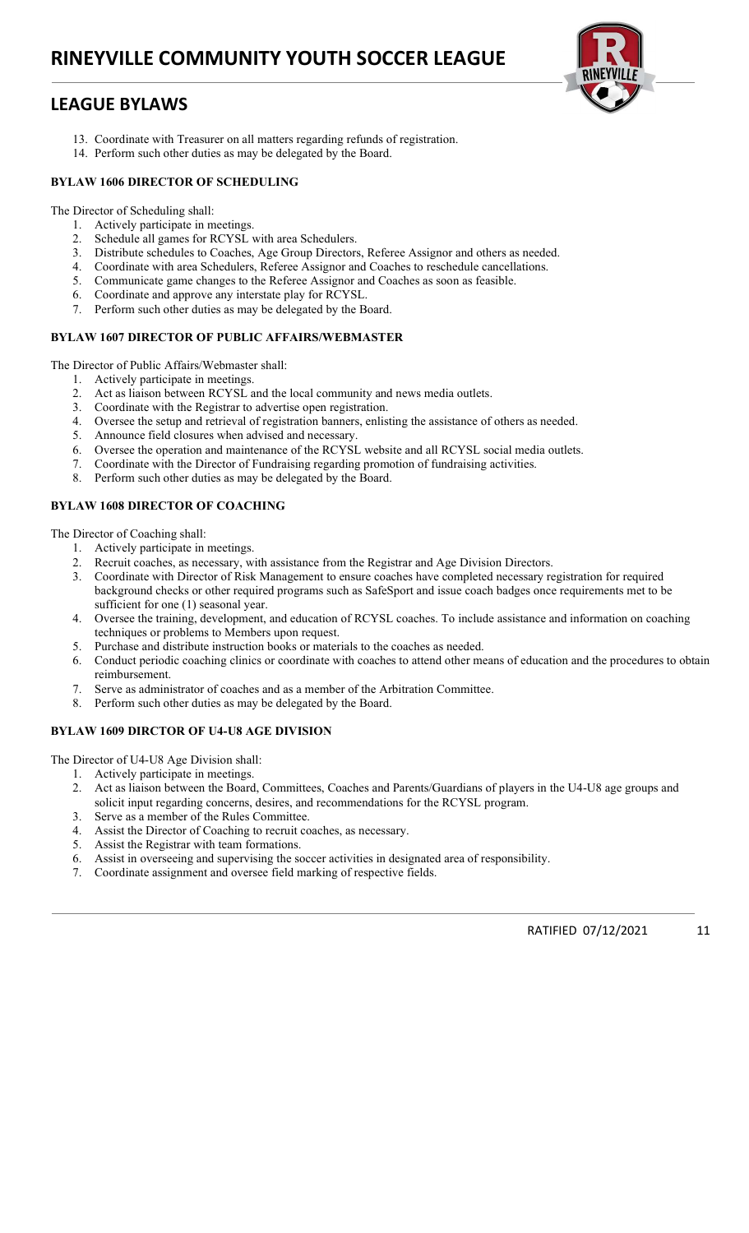## LEAGUE BYLAWS

- 13. Coordinate with Treasurer on all matters regarding refunds of registration.
- 14. Perform such other duties as may be delegated by the Board.

### BYLAW 1606 DIRECTOR OF SCHEDULING

The Director of Scheduling shall:

- 1. Actively participate in meetings.
- 2. Schedule all games for RCYSL with area Schedulers.
- 3. Distribute schedules to Coaches, Age Group Directors, Referee Assignor and others as needed.
- 4. Coordinate with area Schedulers, Referee Assignor and Coaches to reschedule cancellations.
- 5. Communicate game changes to the Referee Assignor and Coaches as soon as feasible.<br>6. Coordinate and annoye any interstate play for  $BCVST$
- 6. Coordinate and approve any interstate play for RCYSL.
- 7. Perform such other duties as may be delegated by the Board.

### BYLAW 1607 DIRECTOR OF PUBLIC AFFAIRS/WEBMASTER

The Director of Public Affairs/Webmaster shall:

- 1. Actively participate in meetings.
- 2. Act as liaison between RCYSL and the local community and news media outlets.
- 3. Coordinate with the Registrar to advertise open registration.
- 4. Oversee the setup and retrieval of registration banners, enlisting the assistance of others as needed.
- 5. Announce field closures when advised and necessary.
- 6. Oversee the operation and maintenance of the RCYSL website and all RCYSL social media outlets.
- 7. Coordinate with the Director of Fundraising regarding promotion of fundraising activities.
- 8. Perform such other duties as may be delegated by the Board.

### BYLAW 1608 DIRECTOR OF COACHING

The Director of Coaching shall:

- 1. Actively participate in meetings.
- 2. Recruit coaches, as necessary, with assistance from the Registrar and Age Division Directors.
- 3. Coordinate with Director of Risk Management to ensure coaches have completed necessary registration for required background checks or other required programs such as SafeSport and issue coach badges once requirements met to be sufficient for one (1) seasonal year.
- 4. Oversee the training, development, and education of RCYSL coaches. To include assistance and information on coaching techniques or problems to Members upon request.
- 5. Purchase and distribute instruction books or materials to the coaches as needed.
- 6. Conduct periodic coaching clinics or coordinate with coaches to attend other means of education and the procedures to obtain reimbursement.
- 7. Serve as administrator of coaches and as a member of the Arbitration Committee.
- 8. Perform such other duties as may be delegated by the Board.

### BYLAW 1609 DIRCTOR OF U4-U8 AGE DIVISION

The Director of U4-U8 Age Division shall:

- 1. Actively participate in meetings.
- 2. Act as liaison between the Board, Committees, Coaches and Parents/Guardians of players in the U4-U8 age groups and solicit input regarding concerns, desires, and recommendations for the RCYSL program.
- 3. Serve as a member of the Rules Committee.
- 4. Assist the Director of Coaching to recruit coaches, as necessary.
- 5. Assist the Registrar with team formations.
- 6. Assist in overseeing and supervising the soccer activities in designated area of responsibility.
- 7. Coordinate assignment and oversee field marking of respective fields.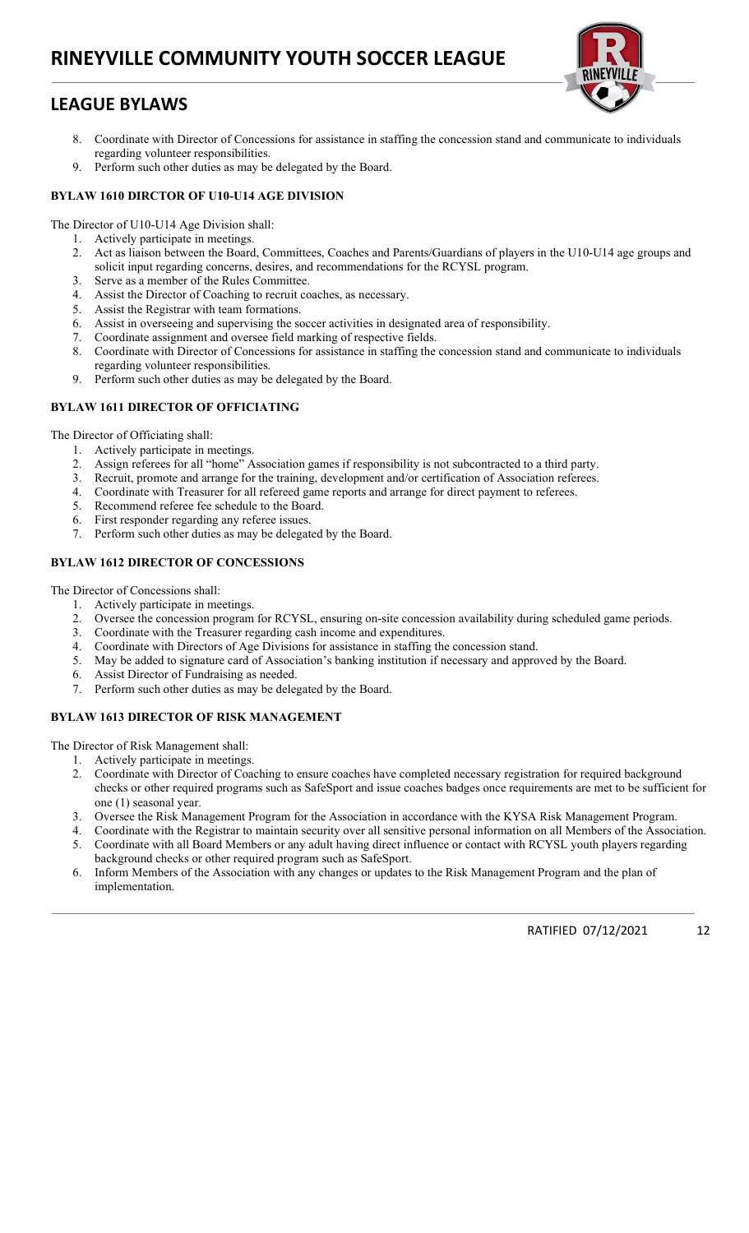# LEAGUE BYLAWS

- 
- 8. Coordinate with Director of Concessions for assistance in staffing the concession stand and communicate to individuals regarding volunteer responsibilities.
- 9. Perform such other duties as may be delegated by the Board.

### BYLAW 1610 DIRCTOR OF U10-U14 AGE DIVISION

The Director of U10-U14 Age Division shall:

- 1. Actively participate in meetings.
- 2. Act as liaison between the Board, Committees, Coaches and Parents/Guardians of players in the U10-U14 age groups and solicit input regarding concerns, desires, and recommendations for the RCYSL program.
- 3. Serve as a member of the Rules Committee.
- 4. Assist the Director of Coaching to recruit coaches, as necessary.
- 5. Assist the Registrar with team formations.
- 6. Assist in overseeing and supervising the soccer activities in designated area of responsibility.
- 7. Coordinate assignment and oversee field marking of respective fields.
- 8. Coordinate with Director of Concessions for assistance in staffing the concession stand and communicate to individuals
- regarding volunteer responsibilities. 9. Perform such other duties as may be delegated by the Board.

### BYLAW 1611 DIRECTOR OF OFFICIATING

The Director of Officiating shall:

- 1. Actively participate in meetings.
- 2. Assign referees for all "home" Association games if responsibility is not subcontracted to a third party.
- 3. Recruit, promote and arrange for the training, development and/or certification of Association referees.
- 4. Coordinate with Treasurer for all refereed game reports and arrange for direct payment to referees.
- 5. Recommend referee fee schedule to the Board.
- 6. First responder regarding any referee issues.
- 7. Perform such other duties as may be delegated by the Board.

### BYLAW 1612 DIRECTOR OF CONCESSIONS

The Director of Concessions shall:

- 1. Actively participate in meetings.
- 2. Oversee the concession program for RCYSL, ensuring on-site concession availability during scheduled game periods.
- 3. Coordinate with the Treasurer regarding cash income and expenditures.
- 4. Coordinate with Directors of Age Divisions for assistance in staffing the concession stand.
- 5. May be added to signature card of Association's banking institution if necessary and approved by the Board.
- 6. Assist Director of Fundraising as needed.
- 7. Perform such other duties as may be delegated by the Board.

### BYLAW 1613 DIRECTOR OF RISK MANAGEMENT

The Director of Risk Management shall:

- 1. Actively participate in meetings.
- 2. Coordinate with Director of Coaching to ensure coaches have completed necessary registration for required background checks or other required programs such as SafeSport and issue coaches badges once requirements are met to be sufficient for one (1) seasonal year.
- 3. Oversee the Risk Management Program for the Association in accordance with the KYSA Risk Management Program.
- 4. Coordinate with the Registrar to maintain security over all sensitive personal information on all Members of the Association.<br>5. Coordinate with all Board Members or any adult having direct influence or contact with RCY 5. Coordinate with all Board Members or any adult having direct influence or contact with RCYSL youth players regarding
- background checks or other required program such as SafeSport. 6. Inform Members of the Association with any changes or updates to the Risk Management Program and the plan of implementation.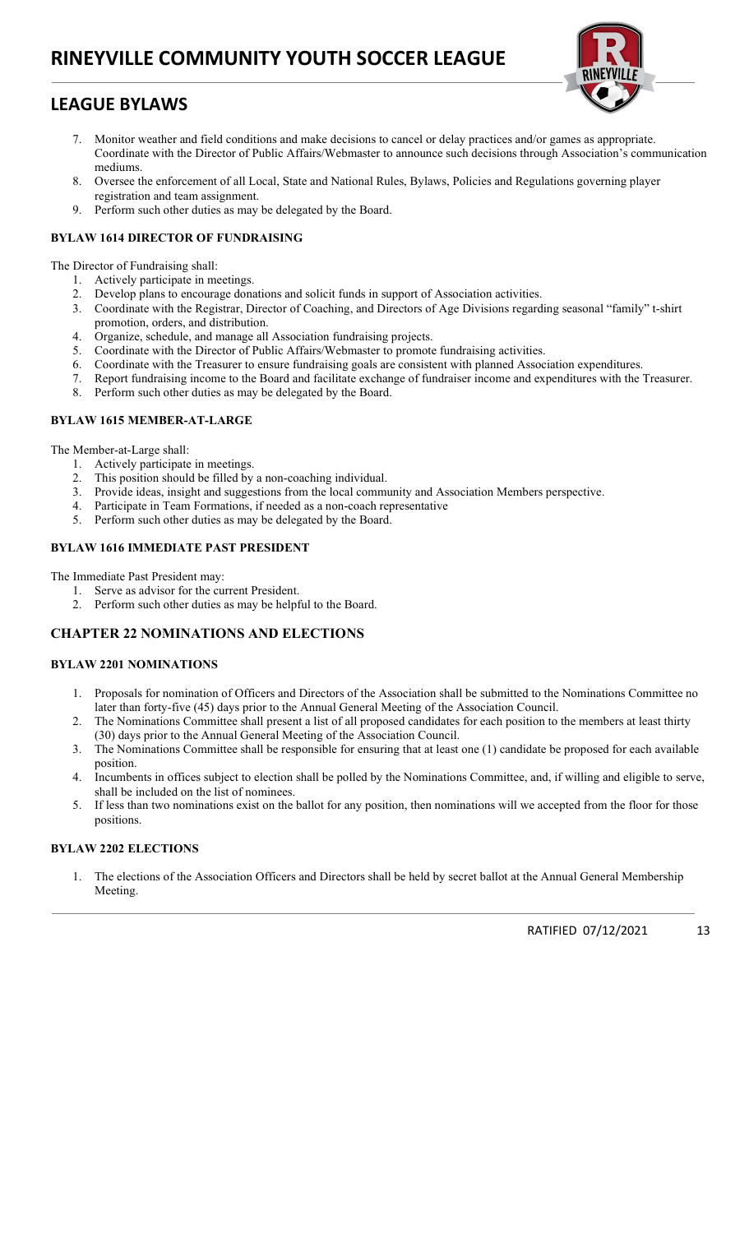# LEAGUE BYLAWS



- 7. Monitor weather and field conditions and make decisions to cancel or delay practices and/or games as appropriate. Coordinate with the Director of Public Affairs/Webmaster to announce such decisions through Association's communication mediums.
- 8. Oversee the enforcement of all Local, State and National Rules, Bylaws, Policies and Regulations governing player registration and team assignment.
- 9. Perform such other duties as may be delegated by the Board.

### BYLAW 1614 DIRECTOR OF FUNDRAISING

The Director of Fundraising shall:

- 1. Actively participate in meetings.
- 2. Develop plans to encourage donations and solicit funds in support of Association activities.
- 3. Coordinate with the Registrar, Director of Coaching, and Directors of Age Divisions regarding seasonal "family" t-shirt promotion, orders, and distribution.
- 4. Organize, schedule, and manage all Association fundraising projects.
- 5. Coordinate with the Director of Public Affairs/Webmaster to promote fundraising activities.
- 6. Coordinate with the Treasurer to ensure fundraising goals are consistent with planned Association expenditures.
- 7. Report fundraising income to the Board and facilitate exchange of fundraiser income and expenditures with the Treasurer.
- 8. Perform such other duties as may be delegated by the Board.

### BYLAW 1615 MEMBER-AT-LARGE

The Member-at-Large shall:

- 1. Actively participate in meetings.
- 2. This position should be filled by a non-coaching individual.
- 2. This perfect shows of the local community and Association Members perspective.
- 4. Participate in Team Formations, if needed as a non-coach representative
- 5. Perform such other duties as may be delegated by the Board.

### BYLAW 1616 IMMEDIATE PAST PRESIDENT

The Immediate Past President may:

- 1. Serve as advisor for the current President.
- 2. Perform such other duties as may be helpful to the Board.

## CHAPTER 22 NOMINATIONS AND ELECTIONS

### BYLAW 2201 NOMINATIONS

- 1. Proposals for nomination of Officers and Directors of the Association shall be submitted to the Nominations Committee no later than forty-five (45) days prior to the Annual General Meeting of the Association Council.
- 2. The Nominations Committee shall present a list of all proposed candidates for each position to the members at least thirty (30) days prior to the Annual General Meeting of the Association Council.
- 3. The Nominations Committee shall be responsible for ensuring that at least one (1) candidate be proposed for each available position.
- 4. Incumbents in offices subject to election shall be polled by the Nominations Committee, and, if willing and eligible to serve, shall be included on the list of nominees.
- 5. If less than two nominations exist on the ballot for any position, then nominations will we accepted from the floor for those positions.

### BYLAW 2202 ELECTIONS

1. The elections of the Association Officers and Directors shall be held by secret ballot at the Annual General Membership Meeting.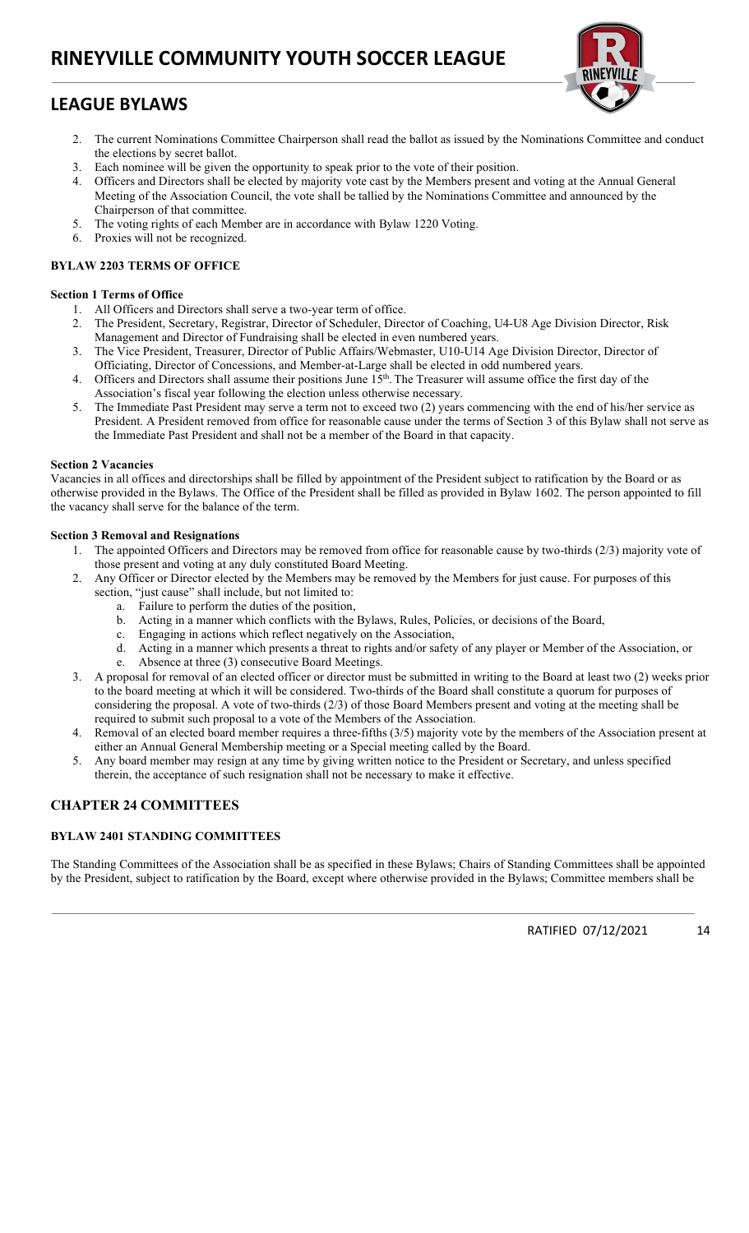# LEAGUE BYLAWS



- 2. The current Nominations Committee Chairperson shall read the ballot as issued by the Nominations Committee and conduct the elections by secret ballot.
- 3. Each nominee will be given the opportunity to speak prior to the vote of their position.
- 4. Officers and Directors shall be elected by majority vote cast by the Members present and voting at the Annual General Meeting of the Association Council, the vote shall be tallied by the Nominations Committee and announced by the Chairperson of that committee.
- 5. The voting rights of each Member are in accordance with Bylaw 1220 Voting.
- 6. Proxies will not be recognized.

### BYLAW 2203 TERMS OF OFFICE

### Section 1 Terms of Office

- 1. All Officers and Directors shall serve a two-year term of office.
- 2. The President, Secretary, Registrar, Director of Scheduler, Director of Coaching, U4-U8 Age Division Director, Risk Management and Director of Fundraising shall be elected in even numbered years.
- 3. The Vice President, Treasurer, Director of Public Affairs/Webmaster, U10-U14 Age Division Director, Director of Officiating, Director of Concessions, and Member-at-Large shall be elected in odd numbered years.
- 4. Officers and Directors shall assume their positions June 15<sup>th</sup>. The Treasurer will assume office the first day of the Association's fiscal year following the election unless otherwise necessary.
- 5. The Immediate Past President may serve a term not to exceed two (2) years commencing with the end of his/her service as President. A President removed from office for reasonable cause under the terms of Section 3 of this Bylaw shall not serve as the Immediate Past President and shall not be a member of the Board in that capacity.

### Section 2 Vacancies

Vacancies in all offices and directorships shall be filled by appointment of the President subject to ratification by the Board or as otherwise provided in the Bylaws. The Office of the President shall be filled as provided in Bylaw 1602. The person appointed to fill the vacancy shall serve for the balance of the term.

### Section 3 Removal and Resignations

- 1. The appointed Officers and Directors may be removed from office for reasonable cause by two-thirds (2/3) majority vote of those present and voting at any duly constituted Board Meeting.
- 2. Any Officer or Director elected by the Members may be removed by the Members for just cause. For purposes of this section, "just cause" shall include, but not limited to:
	- a. Failure to perform the duties of the position,
	- b. Acting in a manner which conflicts with the Bylaws, Rules, Policies, or decisions of the Board,
	- c. Engaging in actions which reflect negatively on the Association,
	- d. Acting in a manner which presents a threat to rights and/or safety of any player or Member of the Association, or e. Absence at three (3) consecutive Board Meetings.
- 3. A proposal for removal of an elected officer or director must be submitted in writing to the Board at least two (2) weeks prior to the board meeting at which it will be considered. Two-thirds of the Board shall constitute a quorum for purposes of considering the proposal. A vote of two-thirds (2/3) of those Board Members present and voting at the meeting shall be required to submit such proposal to a vote of the Members of the Association.
- 4. Removal of an elected board member requires a three-fifths (3/5) majority vote by the members of the Association present at either an Annual General Membership meeting or a Special meeting called by the Board.
- 5. Any board member may resign at any time by giving written notice to the President or Secretary, and unless specified therein, the acceptance of such resignation shall not be necessary to make it effective.

## CHAPTER 24 COMMITTEES

### BYLAW 2401 STANDING COMMITTEES

The Standing Committees of the Association shall be as specified in these Bylaws; Chairs of Standing Committees shall be appointed by the President, subject to ratification by the Board, except where otherwise provided in the Bylaws; Committee members shall be